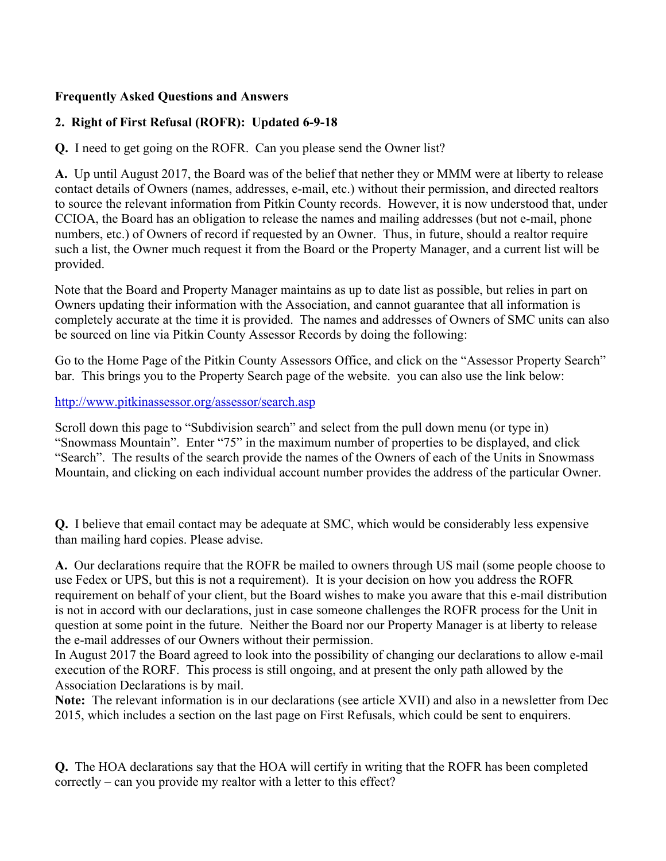## **Frequently Asked Questions and Answers**

## **2. Right of First Refusal (ROFR): Updated 6-9-18**

**Q.** I need to get going on the ROFR. Can you please send the Owner list?

**A.** Up until August 2017, the Board was of the belief that nether they or MMM were at liberty to release contact details of Owners (names, addresses, e-mail, etc.) without their permission, and directed realtors to source the relevant information from Pitkin County records. However, it is now understood that, under CCIOA, the Board has an obligation to release the names and mailing addresses (but not e-mail, phone numbers, etc.) of Owners of record if requested by an Owner. Thus, in future, should a realtor require such a list, the Owner much request it from the Board or the Property Manager, and a current list will be provided.

Note that the Board and Property Manager maintains as up to date list as possible, but relies in part on Owners updating their information with the Association, and cannot guarantee that all information is completely accurate at the time it is provided. The names and addresses of Owners of SMC units can also be sourced on line via Pitkin County Assessor Records by doing the following:

Go to the Home Page of the Pitkin County Assessors Office, and click on the "Assessor Property Search" bar. This brings you to the Property Search page of the website. you can also use the link below:

## http://www.pitkinassessor.org/assessor/search.asp

Scroll down this page to "Subdivision search" and select from the pull down menu (or type in) "Snowmass Mountain". Enter "75" in the maximum number of properties to be displayed, and click "Search". The results of the search provide the names of the Owners of each of the Units in Snowmass Mountain, and clicking on each individual account number provides the address of the particular Owner.

**Q.** I believe that email contact may be adequate at SMC, which would be considerably less expensive than mailing hard copies. Please advise.

**A.** Our declarations require that the ROFR be mailed to owners through US mail (some people choose to use Fedex or UPS, but this is not a requirement). It is your decision on how you address the ROFR requirement on behalf of your client, but the Board wishes to make you aware that this e-mail distribution is not in accord with our declarations, just in case someone challenges the ROFR process for the Unit in question at some point in the future. Neither the Board nor our Property Manager is at liberty to release the e-mail addresses of our Owners without their permission.

In August 2017 the Board agreed to look into the possibility of changing our declarations to allow e-mail execution of the RORF. This process is still ongoing, and at present the only path allowed by the Association Declarations is by mail.

**Note:** The relevant information is in our declarations (see article XVII) and also in a newsletter from Dec 2015, which includes a section on the last page on First Refusals, which could be sent to enquirers.

**Q.** The HOA declarations say that the HOA will certify in writing that the ROFR has been completed correctly – can you provide my realtor with a letter to this effect?